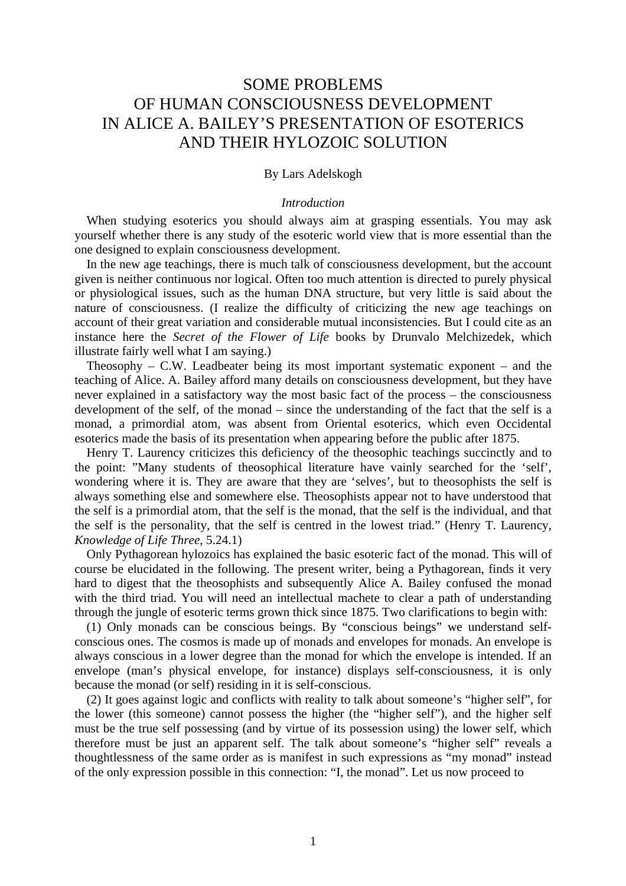# SOME PROBLEMS OF HUMAN CONSCIOUSNESS DEVELOPMENT IN ALICE A. BAILEY'S PRESENTATION OF ESOTERICS AND THEIR HYLOZOIC SOLUTION

# By Lars Adelskogh

# *Introduction*

When studying esoterics you should always aim at grasping essentials. You may ask yourself whether there is any study of the esoteric world view that is more essential than the one designed to explain consciousness development.

In the new age teachings, there is much talk of consciousness development, but the account given is neither continuous nor logical. Often too much attention is directed to purely physical or physiological issues, such as the human DNA structure, but very little is said about the nature of consciousness. (I realize the difficulty of criticizing the new age teachings on account of their great variation and considerable mutual inconsistencies. But I could cite as an instance here the *Secret of the Flower of Life* books by Drunvalo Melchizedek, which illustrate fairly well what I am saying.)

Theosophy  $-$  C.W. Leadbeater being its most important systematic exponent  $-$  and the teaching of Alice. A. Bailey afford many details on consciousness development, but they have never explained in a satisfactory way the most basic fact of the process – the consciousness development of the self, of the monad – since the understanding of the fact that the self is a monad, a primordial atom, was absent from Oriental esoterics, which even Occidental esoterics made the basis of its presentation when appearing before the public after 1875.

Henry T. Laurency criticizes this deficiency of the theosophic teachings succinctly and to the point: "Many students of theosophical literature have vainly searched for the 'self', wondering where it is. They are aware that they are 'selves', but to theosophists the self is always something else and somewhere else. Theosophists appear not to have understood that the self is a primordial atom, that the self is the monad, that the self is the individual, and that the self is the personality, that the self is centred in the lowest triad." (Henry T. Laurency, *Knowledge of Life Three*, 5.24.1)

Only Pythagorean hylozoics has explained the basic esoteric fact of the monad. This will of course be elucidated in the following. The present writer, being a Pythagorean, finds it very hard to digest that the theosophists and subsequently Alice A. Bailey confused the monad with the third triad. You will need an intellectual machete to clear a path of understanding through the jungle of esoteric terms grown thick since 1875. Two clarifications to begin with:

(1) Only monads can be conscious beings. By "conscious beings" we understand selfconscious ones. The cosmos is made up of monads and envelopes for monads. An envelope is always conscious in a lower degree than the monad for which the envelope is intended. If an envelope (man's physical envelope, for instance) displays self-consciousness, it is only because the monad (or self) residing in it is self-conscious.

(2) It goes against logic and conflicts with reality to talk about someone's "higher self", for the lower (this someone) cannot possess the higher (the "higher self"), and the higher self must be the true self possessing (and by virtue of its possession using) the lower self, which therefore must be just an apparent self. The talk about someone's "higher self" reveals a thoughtlessness of the same order as is manifest in such expressions as "my monad" instead of the only expression possible in this connection: "I, the monad". Let us now proceed to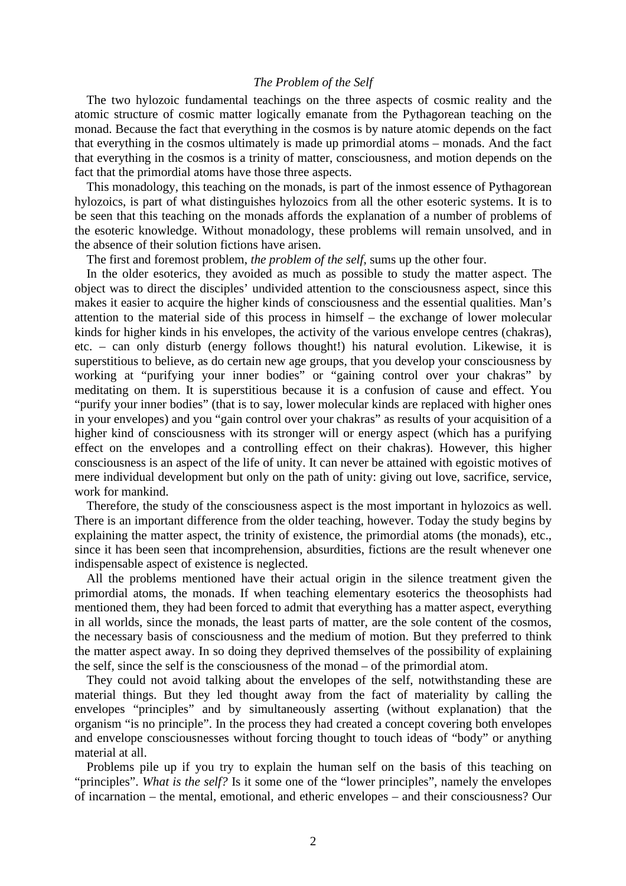# *The Problem of the Self*

The two hylozoic fundamental teachings on the three aspects of cosmic reality and the atomic structure of cosmic matter logically emanate from the Pythagorean teaching on the monad. Because the fact that everything in the cosmos is by nature atomic depends on the fact that everything in the cosmos ultimately is made up primordial atoms – monads. And the fact that everything in the cosmos is a trinity of matter, consciousness, and motion depends on the fact that the primordial atoms have those three aspects.

This monadology, this teaching on the monads, is part of the inmost essence of Pythagorean hylozoics, is part of what distinguishes hylozoics from all the other esoteric systems. It is to be seen that this teaching on the monads affords the explanation of a number of problems of the esoteric knowledge. Without monadology, these problems will remain unsolved, and in the absence of their solution fictions have arisen.

The first and foremost problem, *the problem of the self*, sums up the other four.

In the older esoterics, they avoided as much as possible to study the matter aspect. The object was to direct the disciples' undivided attention to the consciousness aspect, since this makes it easier to acquire the higher kinds of consciousness and the essential qualities. Man's attention to the material side of this process in himself – the exchange of lower molecular kinds for higher kinds in his envelopes, the activity of the various envelope centres (chakras), etc. – can only disturb (energy follows thought!) his natural evolution. Likewise, it is superstitious to believe, as do certain new age groups, that you develop your consciousness by working at "purifying your inner bodies" or "gaining control over your chakras" by meditating on them. It is superstitious because it is a confusion of cause and effect. You "purify your inner bodies" (that is to say, lower molecular kinds are replaced with higher ones in your envelopes) and you "gain control over your chakras" as results of your acquisition of a higher kind of consciousness with its stronger will or energy aspect (which has a purifying effect on the envelopes and a controlling effect on their chakras). However, this higher consciousness is an aspect of the life of unity. It can never be attained with egoistic motives of mere individual development but only on the path of unity: giving out love, sacrifice, service, work for mankind.

Therefore, the study of the consciousness aspect is the most important in hylozoics as well. There is an important difference from the older teaching, however. Today the study begins by explaining the matter aspect, the trinity of existence, the primordial atoms (the monads), etc., since it has been seen that incomprehension, absurdities, fictions are the result whenever one indispensable aspect of existence is neglected.

All the problems mentioned have their actual origin in the silence treatment given the primordial atoms, the monads. If when teaching elementary esoterics the theosophists had mentioned them, they had been forced to admit that everything has a matter aspect, everything in all worlds, since the monads, the least parts of matter, are the sole content of the cosmos, the necessary basis of consciousness and the medium of motion. But they preferred to think the matter aspect away. In so doing they deprived themselves of the possibility of explaining the self, since the self is the consciousness of the monad – of the primordial atom.

They could not avoid talking about the envelopes of the self, notwithstanding these are material things. But they led thought away from the fact of materiality by calling the envelopes "principles" and by simultaneously asserting (without explanation) that the organism "is no principle". In the process they had created a concept covering both envelopes and envelope consciousnesses without forcing thought to touch ideas of "body" or anything material at all.

Problems pile up if you try to explain the human self on the basis of this teaching on "principles". *What is the self?* Is it some one of the "lower principles", namely the envelopes of incarnation – the mental, emotional, and etheric envelopes – and their consciousness? Our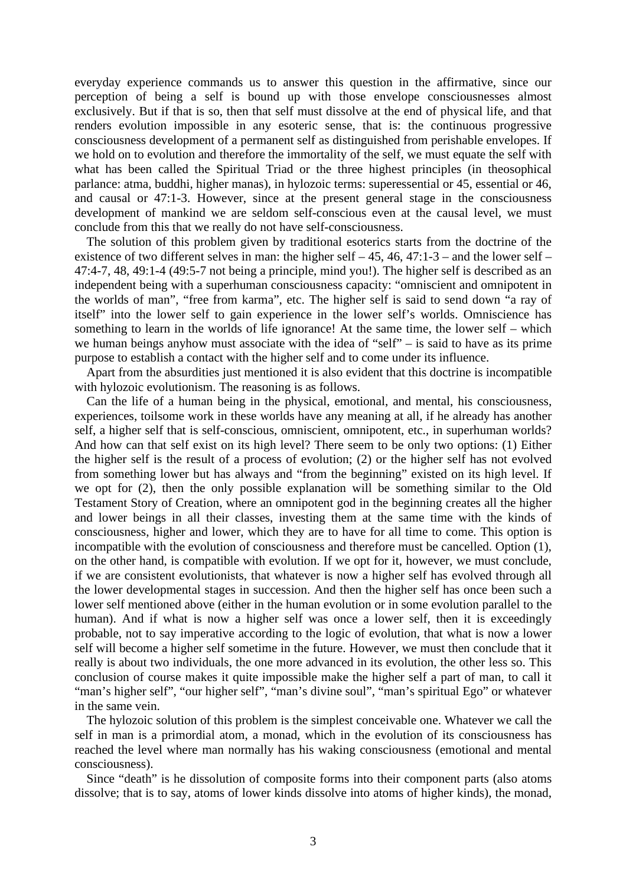everyday experience commands us to answer this question in the affirmative, since our perception of being a self is bound up with those envelope consciousnesses almost exclusively. But if that is so, then that self must dissolve at the end of physical life, and that renders evolution impossible in any esoteric sense, that is: the continuous progressive consciousness development of a permanent self as distinguished from perishable envelopes. If we hold on to evolution and therefore the immortality of the self, we must equate the self with what has been called the Spiritual Triad or the three highest principles (in theosophical parlance: atma, buddhi, higher manas), in hylozoic terms: superessential or 45, essential or 46, and causal or 47:1-3. However, since at the present general stage in the consciousness development of mankind we are seldom self-conscious even at the causal level, we must conclude from this that we really do not have self-consciousness.

The solution of this problem given by traditional esoterics starts from the doctrine of the existence of two different selves in man: the higher self  $-45$ , 46, 47:1-3 – and the lower self – 47:4-7, 48, 49:1-4 (49:5-7 not being a principle, mind you!). The higher self is described as an independent being with a superhuman consciousness capacity: "omniscient and omnipotent in the worlds of man", "free from karma", etc. The higher self is said to send down "a ray of itself" into the lower self to gain experience in the lower self's worlds. Omniscience has something to learn in the worlds of life ignorance! At the same time, the lower self – which we human beings anyhow must associate with the idea of "self" – is said to have as its prime purpose to establish a contact with the higher self and to come under its influence.

Apart from the absurdities just mentioned it is also evident that this doctrine is incompatible with hylozoic evolutionism. The reasoning is as follows.

Can the life of a human being in the physical, emotional, and mental, his consciousness, experiences, toilsome work in these worlds have any meaning at all, if he already has another self, a higher self that is self-conscious, omniscient, omnipotent, etc., in superhuman worlds? And how can that self exist on its high level? There seem to be only two options: (1) Either the higher self is the result of a process of evolution; (2) or the higher self has not evolved from something lower but has always and "from the beginning" existed on its high level. If we opt for (2), then the only possible explanation will be something similar to the Old Testament Story of Creation, where an omnipotent god in the beginning creates all the higher and lower beings in all their classes, investing them at the same time with the kinds of consciousness, higher and lower, which they are to have for all time to come. This option is incompatible with the evolution of consciousness and therefore must be cancelled. Option (1), on the other hand, is compatible with evolution. If we opt for it, however, we must conclude, if we are consistent evolutionists, that whatever is now a higher self has evolved through all the lower developmental stages in succession. And then the higher self has once been such a lower self mentioned above (either in the human evolution or in some evolution parallel to the human). And if what is now a higher self was once a lower self, then it is exceedingly probable, not to say imperative according to the logic of evolution, that what is now a lower self will become a higher self sometime in the future. However, we must then conclude that it really is about two individuals, the one more advanced in its evolution, the other less so. This conclusion of course makes it quite impossible make the higher self a part of man, to call it "man's higher self", "our higher self", "man's divine soul", "man's spiritual Ego" or whatever in the same vein.

The hylozoic solution of this problem is the simplest conceivable one. Whatever we call the self in man is a primordial atom, a monad, which in the evolution of its consciousness has reached the level where man normally has his waking consciousness (emotional and mental consciousness).

Since "death" is he dissolution of composite forms into their component parts (also atoms dissolve; that is to say, atoms of lower kinds dissolve into atoms of higher kinds), the monad,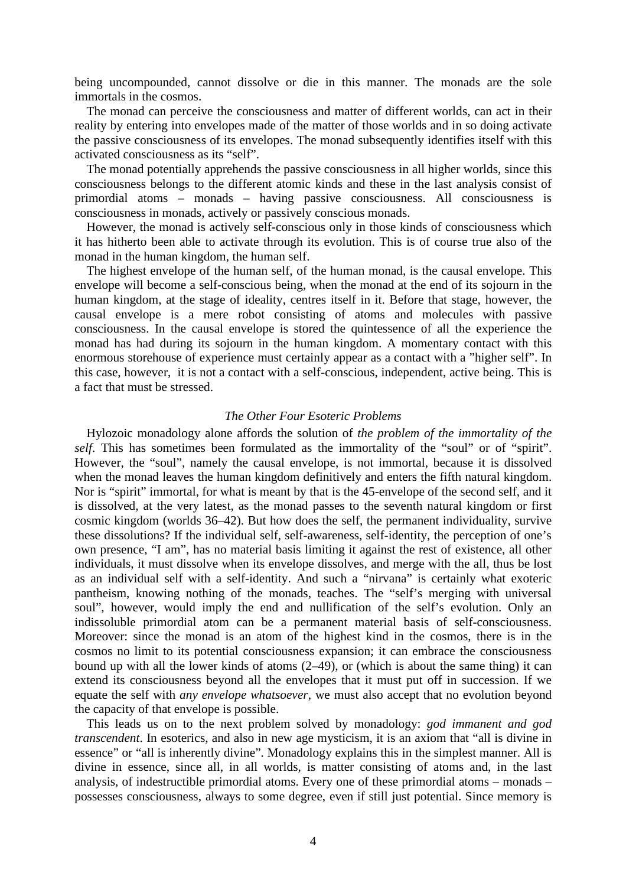being uncompounded, cannot dissolve or die in this manner. The monads are the sole immortals in the cosmos.

The monad can perceive the consciousness and matter of different worlds, can act in their reality by entering into envelopes made of the matter of those worlds and in so doing activate the passive consciousness of its envelopes. The monad subsequently identifies itself with this activated consciousness as its "self".

The monad potentially apprehends the passive consciousness in all higher worlds, since this consciousness belongs to the different atomic kinds and these in the last analysis consist of primordial atoms – monads – having passive consciousness. All consciousness is consciousness in monads, actively or passively conscious monads.

However, the monad is actively self-conscious only in those kinds of consciousness which it has hitherto been able to activate through its evolution. This is of course true also of the monad in the human kingdom, the human self.

The highest envelope of the human self, of the human monad, is the causal envelope. This envelope will become a self-conscious being, when the monad at the end of its sojourn in the human kingdom, at the stage of ideality, centres itself in it. Before that stage, however, the causal envelope is a mere robot consisting of atoms and molecules with passive consciousness. In the causal envelope is stored the quintessence of all the experience the monad has had during its sojourn in the human kingdom. A momentary contact with this enormous storehouse of experience must certainly appear as a contact with a "higher self". In this case, however, it is not a contact with a self-conscious, independent, active being. This is a fact that must be stressed.

## *The Other Four Esoteric Problems*

Hylozoic monadology alone affords the solution of *the problem of the immortality of the self.* This has sometimes been formulated as the immortality of the "soul" or of "spirit". However, the "soul", namely the causal envelope, is not immortal, because it is dissolved when the monad leaves the human kingdom definitively and enters the fifth natural kingdom. Nor is "spirit" immortal, for what is meant by that is the 45-envelope of the second self, and it is dissolved, at the very latest, as the monad passes to the seventh natural kingdom or first cosmic kingdom (worlds 36–42). But how does the self, the permanent individuality, survive these dissolutions? If the individual self, self-awareness, self-identity, the perception of one's own presence, "I am", has no material basis limiting it against the rest of existence, all other individuals, it must dissolve when its envelope dissolves, and merge with the all, thus be lost as an individual self with a self-identity. And such a "nirvana" is certainly what exoteric pantheism, knowing nothing of the monads, teaches. The "self's merging with universal soul", however, would imply the end and nullification of the self's evolution. Only an indissoluble primordial atom can be a permanent material basis of self-consciousness. Moreover: since the monad is an atom of the highest kind in the cosmos, there is in the cosmos no limit to its potential consciousness expansion; it can embrace the consciousness bound up with all the lower kinds of atoms (2–49), or (which is about the same thing) it can extend its consciousness beyond all the envelopes that it must put off in succession. If we equate the self with *any envelope whatsoever*, we must also accept that no evolution beyond the capacity of that envelope is possible.

This leads us on to the next problem solved by monadology: *god immanent and god transcendent*. In esoterics, and also in new age mysticism, it is an axiom that "all is divine in essence" or "all is inherently divine". Monadology explains this in the simplest manner. All is divine in essence, since all, in all worlds, is matter consisting of atoms and, in the last analysis, of indestructible primordial atoms. Every one of these primordial atoms – monads – possesses consciousness, always to some degree, even if still just potential. Since memory is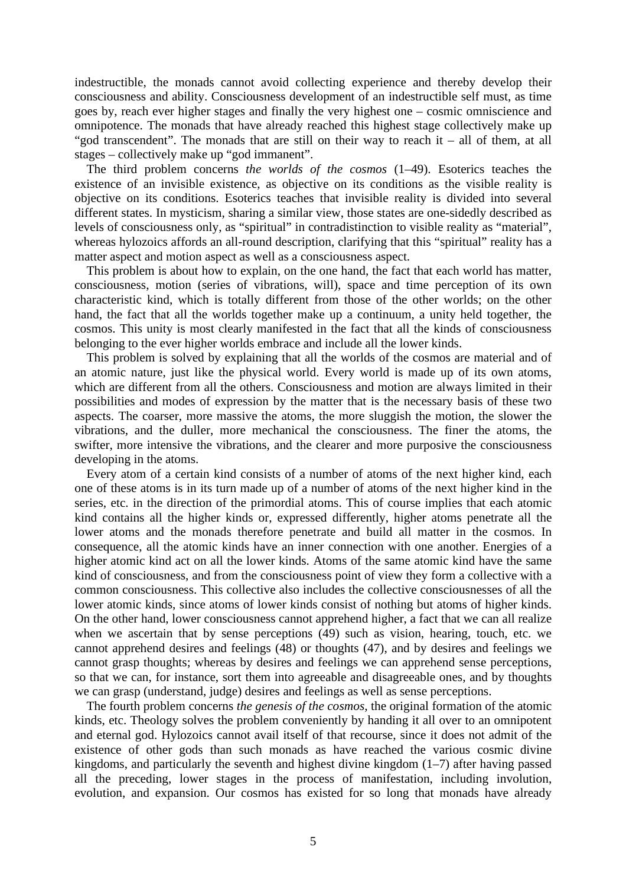indestructible, the monads cannot avoid collecting experience and thereby develop their consciousness and ability. Consciousness development of an indestructible self must, as time goes by, reach ever higher stages and finally the very highest one – cosmic omniscience and omnipotence. The monads that have already reached this highest stage collectively make up "god transcendent". The monads that are still on their way to reach it – all of them, at all stages – collectively make up "god immanent".

The third problem concerns *the worlds of the cosmos* (1–49). Esoterics teaches the existence of an invisible existence, as objective on its conditions as the visible reality is objective on its conditions. Esoterics teaches that invisible reality is divided into several different states. In mysticism, sharing a similar view, those states are one-sidedly described as levels of consciousness only, as "spiritual" in contradistinction to visible reality as "material", whereas hylozoics affords an all-round description, clarifying that this "spiritual" reality has a matter aspect and motion aspect as well as a consciousness aspect.

This problem is about how to explain, on the one hand, the fact that each world has matter, consciousness, motion (series of vibrations, will), space and time perception of its own characteristic kind, which is totally different from those of the other worlds; on the other hand, the fact that all the worlds together make up a continuum, a unity held together, the cosmos. This unity is most clearly manifested in the fact that all the kinds of consciousness belonging to the ever higher worlds embrace and include all the lower kinds.

This problem is solved by explaining that all the worlds of the cosmos are material and of an atomic nature, just like the physical world. Every world is made up of its own atoms, which are different from all the others. Consciousness and motion are always limited in their possibilities and modes of expression by the matter that is the necessary basis of these two aspects. The coarser, more massive the atoms, the more sluggish the motion, the slower the vibrations, and the duller, more mechanical the consciousness. The finer the atoms, the swifter, more intensive the vibrations, and the clearer and more purposive the consciousness developing in the atoms.

Every atom of a certain kind consists of a number of atoms of the next higher kind, each one of these atoms is in its turn made up of a number of atoms of the next higher kind in the series, etc. in the direction of the primordial atoms. This of course implies that each atomic kind contains all the higher kinds or, expressed differently, higher atoms penetrate all the lower atoms and the monads therefore penetrate and build all matter in the cosmos. In consequence, all the atomic kinds have an inner connection with one another. Energies of a higher atomic kind act on all the lower kinds. Atoms of the same atomic kind have the same kind of consciousness, and from the consciousness point of view they form a collective with a common consciousness. This collective also includes the collective consciousnesses of all the lower atomic kinds, since atoms of lower kinds consist of nothing but atoms of higher kinds. On the other hand, lower consciousness cannot apprehend higher, a fact that we can all realize when we ascertain that by sense perceptions (49) such as vision, hearing, touch, etc. we cannot apprehend desires and feelings (48) or thoughts (47), and by desires and feelings we cannot grasp thoughts; whereas by desires and feelings we can apprehend sense perceptions, so that we can, for instance, sort them into agreeable and disagreeable ones, and by thoughts we can grasp (understand, judge) desires and feelings as well as sense perceptions.

The fourth problem concerns *the genesis of the cosmos*, the original formation of the atomic kinds, etc. Theology solves the problem conveniently by handing it all over to an omnipotent and eternal god. Hylozoics cannot avail itself of that recourse, since it does not admit of the existence of other gods than such monads as have reached the various cosmic divine kingdoms, and particularly the seventh and highest divine kingdom  $(1-7)$  after having passed all the preceding, lower stages in the process of manifestation, including involution, evolution, and expansion. Our cosmos has existed for so long that monads have already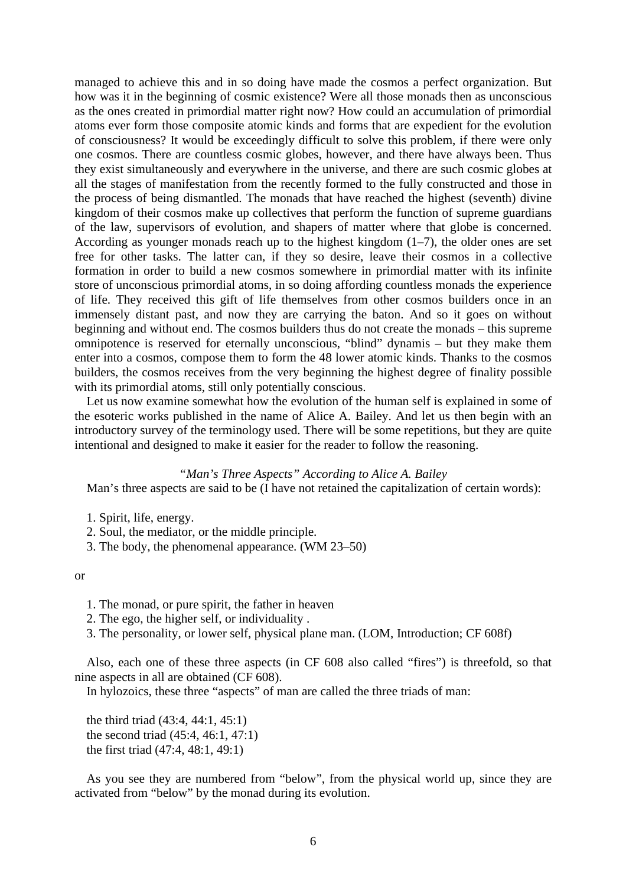managed to achieve this and in so doing have made the cosmos a perfect organization. But how was it in the beginning of cosmic existence? Were all those monads then as unconscious as the ones created in primordial matter right now? How could an accumulation of primordial atoms ever form those composite atomic kinds and forms that are expedient for the evolution of consciousness? It would be exceedingly difficult to solve this problem, if there were only one cosmos. There are countless cosmic globes, however, and there have always been. Thus they exist simultaneously and everywhere in the universe, and there are such cosmic globes at all the stages of manifestation from the recently formed to the fully constructed and those in the process of being dismantled. The monads that have reached the highest (seventh) divine kingdom of their cosmos make up collectives that perform the function of supreme guardians of the law, supervisors of evolution, and shapers of matter where that globe is concerned. According as younger monads reach up to the highest kingdom  $(1-7)$ , the older ones are set free for other tasks. The latter can, if they so desire, leave their cosmos in a collective formation in order to build a new cosmos somewhere in primordial matter with its infinite store of unconscious primordial atoms, in so doing affording countless monads the experience of life. They received this gift of life themselves from other cosmos builders once in an immensely distant past, and now they are carrying the baton. And so it goes on without beginning and without end. The cosmos builders thus do not create the monads – this supreme omnipotence is reserved for eternally unconscious, "blind" dynamis – but they make them enter into a cosmos, compose them to form the 48 lower atomic kinds. Thanks to the cosmos builders, the cosmos receives from the very beginning the highest degree of finality possible with its primordial atoms, still only potentially conscious.

Let us now examine somewhat how the evolution of the human self is explained in some of the esoteric works published in the name of Alice A. Bailey. And let us then begin with an introductory survey of the terminology used. There will be some repetitions, but they are quite intentional and designed to make it easier for the reader to follow the reasoning.

## *"Man's Three Aspects" According to Alice A. Bailey*

Man's three aspects are said to be (I have not retained the capitalization of certain words):

- 1. Spirit, life, energy.
- 2. Soul, the mediator, or the middle principle.
- 3. The body, the phenomenal appearance. (WM 23–50)

or

- 1. The monad, or pure spirit, the father in heaven
- 2. The ego, the higher self, or individuality .
- 3. The personality, or lower self, physical plane man. (LOM, Introduction; CF 608f)

Also, each one of these three aspects (in CF 608 also called "fires") is threefold, so that nine aspects in all are obtained (CF 608).

In hylozoics, these three "aspects" of man are called the three triads of man:

the third triad (43:4, 44:1, 45:1) the second triad (45:4, 46:1, 47:1) the first triad (47:4, 48:1, 49:1)

As you see they are numbered from "below", from the physical world up, since they are activated from "below" by the monad during its evolution.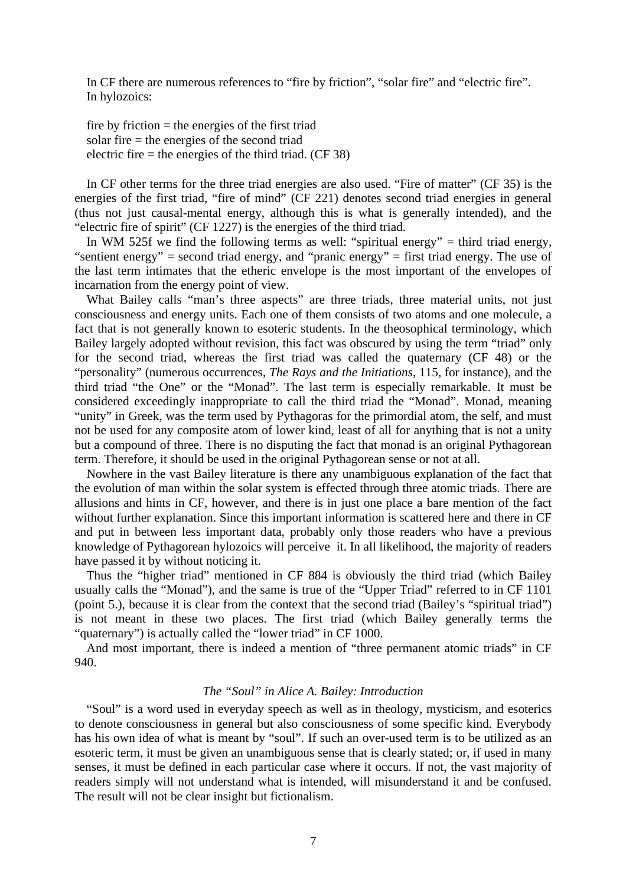In CF there are numerous references to "fire by friction", "solar fire" and "electric fire". In hylozoics:

fire by friction  $=$  the energies of the first triad solar fire = the energies of the second triad electric fire  $=$  the energies of the third triad. (CF 38)

In CF other terms for the three triad energies are also used. "Fire of matter" (CF 35) is the energies of the first triad, "fire of mind" (CF 221) denotes second triad energies in general (thus not just causal-mental energy, although this is what is generally intended), and the "electric fire of spirit" (CF 1227) is the energies of the third triad.

In WM 525f we find the following terms as well: "spiritual energy" = third triad energy, "sentient energy" = second triad energy, and "pranic energy" = first triad energy. The use of the last term intimates that the etheric envelope is the most important of the envelopes of incarnation from the energy point of view.

What Bailey calls "man's three aspects" are three triads, three material units, not just consciousness and energy units. Each one of them consists of two atoms and one molecule, a fact that is not generally known to esoteric students. In the theosophical terminology, which Bailey largely adopted without revision, this fact was obscured by using the term "triad" only for the second triad, whereas the first triad was called the quaternary (CF 48) or the "personality" (numerous occurrences, *The Rays and the Initiations*, 115, for instance), and the third triad "the One" or the "Monad". The last term is especially remarkable. It must be considered exceedingly inappropriate to call the third triad the "Monad". Monad, meaning "unity" in Greek, was the term used by Pythagoras for the primordial atom, the self, and must not be used for any composite atom of lower kind, least of all for anything that is not a unity but a compound of three. There is no disputing the fact that monad is an original Pythagorean term. Therefore, it should be used in the original Pythagorean sense or not at all.

Nowhere in the vast Bailey literature is there any unambiguous explanation of the fact that the evolution of man within the solar system is effected through three atomic triads. There are allusions and hints in CF, however, and there is in just one place a bare mention of the fact without further explanation. Since this important information is scattered here and there in CF and put in between less important data, probably only those readers who have a previous knowledge of Pythagorean hylozoics will perceive it. In all likelihood, the majority of readers have passed it by without noticing it.

Thus the "higher triad" mentioned in CF 884 is obviously the third triad (which Bailey usually calls the "Monad"), and the same is true of the "Upper Triad" referred to in CF 1101 (point 5.), because it is clear from the context that the second triad (Bailey's "spiritual triad") is not meant in these two places. The first triad (which Bailey generally terms the "quaternary") is actually called the "lower triad" in CF 1000.

And most important, there is indeed a mention of "three permanent atomic triads" in CF 940.

#### *The "Soul" in Alice A. Bailey: Introduction*

"Soul" is a word used in everyday speech as well as in theology, mysticism, and esoterics to denote consciousness in general but also consciousness of some specific kind. Everybody has his own idea of what is meant by "soul". If such an over-used term is to be utilized as an esoteric term, it must be given an unambiguous sense that is clearly stated; or, if used in many senses, it must be defined in each particular case where it occurs. If not, the vast majority of readers simply will not understand what is intended, will misunderstand it and be confused. The result will not be clear insight but fictionalism.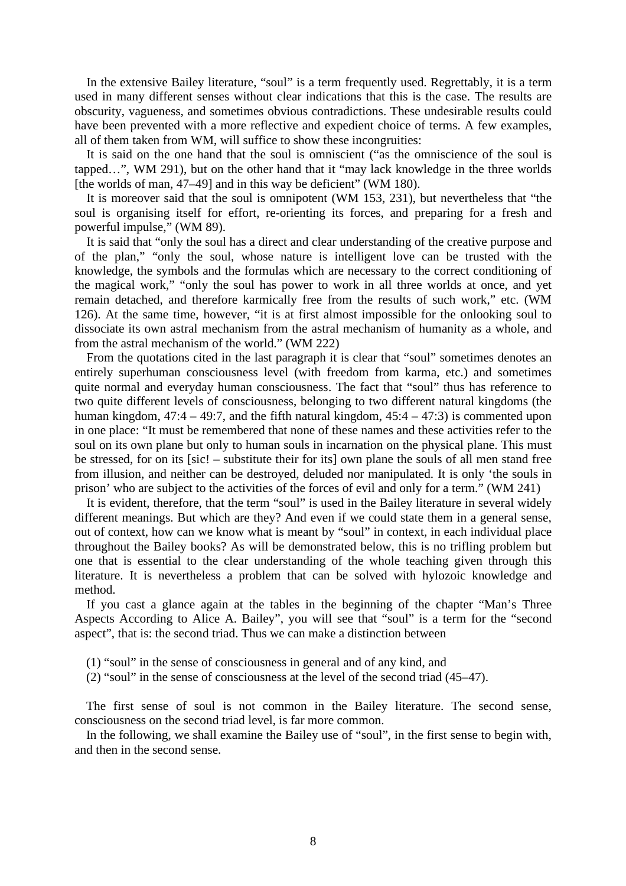In the extensive Bailey literature, "soul" is a term frequently used. Regrettably, it is a term used in many different senses without clear indications that this is the case. The results are obscurity, vagueness, and sometimes obvious contradictions. These undesirable results could have been prevented with a more reflective and expedient choice of terms. A few examples, all of them taken from WM, will suffice to show these incongruities:

It is said on the one hand that the soul is omniscient ("as the omniscience of the soul is tapped…", WM 291), but on the other hand that it "may lack knowledge in the three worlds [the worlds of man, 47–49] and in this way be deficient" (WM 180).

It is moreover said that the soul is omnipotent (WM 153, 231), but nevertheless that "the soul is organising itself for effort, re-orienting its forces, and preparing for a fresh and powerful impulse," (WM 89).

It is said that "only the soul has a direct and clear understanding of the creative purpose and of the plan," "only the soul, whose nature is intelligent love can be trusted with the knowledge, the symbols and the formulas which are necessary to the correct conditioning of the magical work," "only the soul has power to work in all three worlds at once, and yet remain detached, and therefore karmically free from the results of such work," etc. (WM 126). At the same time, however, "it is at first almost impossible for the onlooking soul to dissociate its own astral mechanism from the astral mechanism of humanity as a whole, and from the astral mechanism of the world." (WM 222)

From the quotations cited in the last paragraph it is clear that "soul" sometimes denotes an entirely superhuman consciousness level (with freedom from karma, etc.) and sometimes quite normal and everyday human consciousness. The fact that "soul" thus has reference to two quite different levels of consciousness, belonging to two different natural kingdoms (the human kingdom,  $47:4 - 49:7$ , and the fifth natural kingdom,  $45:4 - 47:3$ ) is commented upon in one place: "It must be remembered that none of these names and these activities refer to the soul on its own plane but only to human souls in incarnation on the physical plane. This must be stressed, for on its [sic! – substitute their for its] own plane the souls of all men stand free from illusion, and neither can be destroyed, deluded nor manipulated. It is only 'the souls in prison' who are subject to the activities of the forces of evil and only for a term." (WM 241)

It is evident, therefore, that the term "soul" is used in the Bailey literature in several widely different meanings. But which are they? And even if we could state them in a general sense, out of context, how can we know what is meant by "soul" in context, in each individual place throughout the Bailey books? As will be demonstrated below, this is no trifling problem but one that is essential to the clear understanding of the whole teaching given through this literature. It is nevertheless a problem that can be solved with hylozoic knowledge and method.

If you cast a glance again at the tables in the beginning of the chapter "Man's Three Aspects According to Alice A. Bailey", you will see that "soul" is a term for the "second aspect", that is: the second triad. Thus we can make a distinction between

- (1) "soul" in the sense of consciousness in general and of any kind, and
- (2) "soul" in the sense of consciousness at the level of the second triad (45–47).

The first sense of soul is not common in the Bailey literature. The second sense, consciousness on the second triad level, is far more common.

In the following, we shall examine the Bailey use of "soul", in the first sense to begin with, and then in the second sense.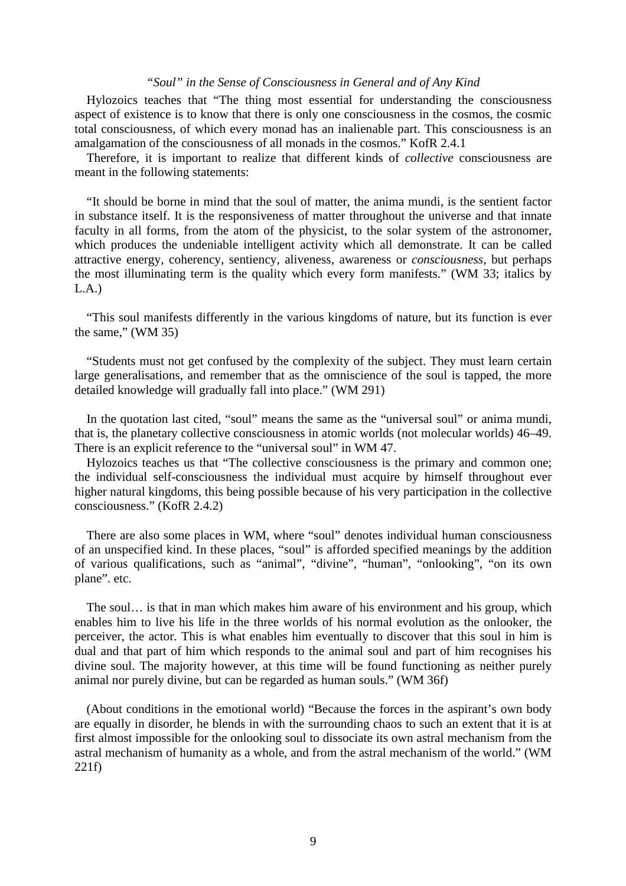## *"Soul" in the Sense of Consciousness in General and of Any Kind*

Hylozoics teaches that "The thing most essential for understanding the consciousness aspect of existence is to know that there is only one consciousness in the cosmos, the cosmic total consciousness, of which every monad has an inalienable part. This consciousness is an amalgamation of the consciousness of all monads in the cosmos." KofR 2.4.1

Therefore, it is important to realize that different kinds of *collective* consciousness are meant in the following statements:

"It should be borne in mind that the soul of matter, the anima mundi, is the sentient factor in substance itself. It is the responsiveness of matter throughout the universe and that innate faculty in all forms, from the atom of the physicist, to the solar system of the astronomer, which produces the undeniable intelligent activity which all demonstrate. It can be called attractive energy, coherency, sentiency, aliveness, awareness or *consciousness*, but perhaps the most illuminating term is the quality which every form manifests." (WM 33; italics by  $L.A.$ )

"This soul manifests differently in the various kingdoms of nature, but its function is ever the same," (WM 35)

"Students must not get confused by the complexity of the subject. They must learn certain large generalisations, and remember that as the omniscience of the soul is tapped, the more detailed knowledge will gradually fall into place." (WM 291)

In the quotation last cited, "soul" means the same as the "universal soul" or anima mundi, that is, the planetary collective consciousness in atomic worlds (not molecular worlds) 46–49. There is an explicit reference to the "universal soul" in WM 47.

Hylozoics teaches us that "The collective consciousness is the primary and common one; the individual self-consciousness the individual must acquire by himself throughout ever higher natural kingdoms, this being possible because of his very participation in the collective consciousness." (KofR 2.4.2)

There are also some places in WM, where "soul" denotes individual human consciousness of an unspecified kind. In these places, "soul" is afforded specified meanings by the addition of various qualifications, such as "animal", "divine", "human", "onlooking", "on its own plane". etc.

The soul… is that in man which makes him aware of his environment and his group, which enables him to live his life in the three worlds of his normal evolution as the onlooker, the perceiver, the actor. This is what enables him eventually to discover that this soul in him is dual and that part of him which responds to the animal soul and part of him recognises his divine soul. The majority however, at this time will be found functioning as neither purely animal nor purely divine, but can be regarded as human souls." (WM 36f)

(About conditions in the emotional world) "Because the forces in the aspirant's own body are equally in disorder, he blends in with the surrounding chaos to such an extent that it is at first almost impossible for the onlooking soul to dissociate its own astral mechanism from the astral mechanism of humanity as a whole, and from the astral mechanism of the world." (WM 221f)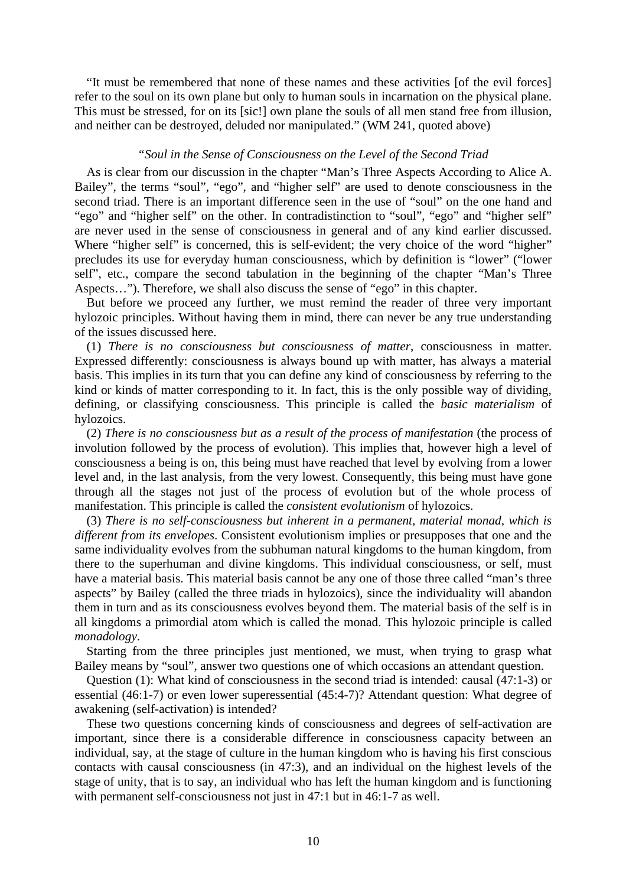"It must be remembered that none of these names and these activities [of the evil forces] refer to the soul on its own plane but only to human souls in incarnation on the physical plane. This must be stressed, for on its [sic!] own plane the souls of all men stand free from illusion, and neither can be destroyed, deluded nor manipulated." (WM 241, quoted above)

# *"Soul in the Sense of Consciousness on the Level of the Second Triad*

As is clear from our discussion in the chapter "Man's Three Aspects According to Alice A. Bailey", the terms "soul", "ego", and "higher self" are used to denote consciousness in the second triad. There is an important difference seen in the use of "soul" on the one hand and "ego" and "higher self" on the other. In contradistinction to "soul", "ego" and "higher self" are never used in the sense of consciousness in general and of any kind earlier discussed. Where "higher self" is concerned, this is self-evident; the very choice of the word "higher" precludes its use for everyday human consciousness, which by definition is "lower" ("lower self", etc., compare the second tabulation in the beginning of the chapter "Man's Three Aspects…"). Therefore, we shall also discuss the sense of "ego" in this chapter.

But before we proceed any further, we must remind the reader of three very important hylozoic principles. Without having them in mind, there can never be any true understanding of the issues discussed here.

(1) *There is no consciousness but consciousness of matter*, consciousness in matter. Expressed differently: consciousness is always bound up with matter, has always a material basis. This implies in its turn that you can define any kind of consciousness by referring to the kind or kinds of matter corresponding to it. In fact, this is the only possible way of dividing, defining, or classifying consciousness. This principle is called the *basic materialism* of hylozoics.

(2) *There is no consciousness but as a result of the process of manifestation* (the process of involution followed by the process of evolution). This implies that, however high a level of consciousness a being is on, this being must have reached that level by evolving from a lower level and, in the last analysis, from the very lowest. Consequently, this being must have gone through all the stages not just of the process of evolution but of the whole process of manifestation. This principle is called the *consistent evolutionism* of hylozoics.

(3) *There is no self-consciousness but inherent in a permanent, material monad, which is different from its envelopes*. Consistent evolutionism implies or presupposes that one and the same individuality evolves from the subhuman natural kingdoms to the human kingdom, from there to the superhuman and divine kingdoms. This individual consciousness, or self, must have a material basis. This material basis cannot be any one of those three called "man's three aspects" by Bailey (called the three triads in hylozoics), since the individuality will abandon them in turn and as its consciousness evolves beyond them. The material basis of the self is in all kingdoms a primordial atom which is called the monad. This hylozoic principle is called *monadology*.

Starting from the three principles just mentioned, we must, when trying to grasp what Bailey means by "soul", answer two questions one of which occasions an attendant question.

Question (1): What kind of consciousness in the second triad is intended: causal (47:1-3) or essential (46:1-7) or even lower superessential (45:4-7)? Attendant question: What degree of awakening (self-activation) is intended?

These two questions concerning kinds of consciousness and degrees of self-activation are important, since there is a considerable difference in consciousness capacity between an individual, say, at the stage of culture in the human kingdom who is having his first conscious contacts with causal consciousness (in 47:3), and an individual on the highest levels of the stage of unity, that is to say, an individual who has left the human kingdom and is functioning with permanent self-consciousness not just in 47:1 but in 46:1-7 as well.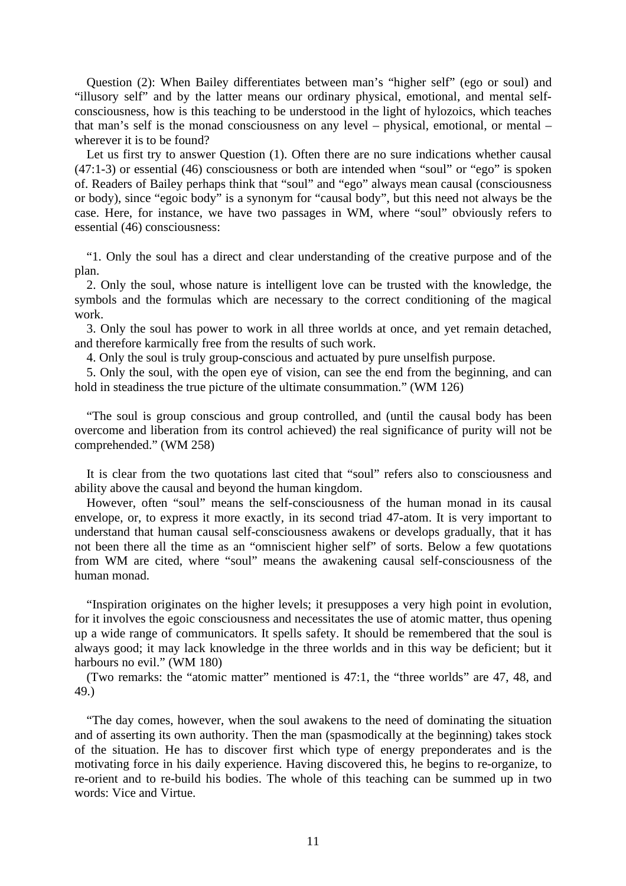Question (2): When Bailey differentiates between man's "higher self" (ego or soul) and "illusory self" and by the latter means our ordinary physical, emotional, and mental selfconsciousness, how is this teaching to be understood in the light of hylozoics, which teaches that man's self is the monad consciousness on any level – physical, emotional, or mental – wherever it is to be found?

Let us first try to answer Question (1). Often there are no sure indications whether causal (47:1-3) or essential (46) consciousness or both are intended when "soul" or "ego" is spoken of. Readers of Bailey perhaps think that "soul" and "ego" always mean causal (consciousness or body), since "egoic body" is a synonym for "causal body", but this need not always be the case. Here, for instance, we have two passages in WM, where "soul" obviously refers to essential (46) consciousness:

"1. Only the soul has a direct and clear understanding of the creative purpose and of the plan.

2. Only the soul, whose nature is intelligent love can be trusted with the knowledge, the symbols and the formulas which are necessary to the correct conditioning of the magical work.

3. Only the soul has power to work in all three worlds at once, and yet remain detached, and therefore karmically free from the results of such work.

4. Only the soul is truly group-conscious and actuated by pure unselfish purpose.

5. Only the soul, with the open eye of vision, can see the end from the beginning, and can hold in steadiness the true picture of the ultimate consummation." (WM 126)

"The soul is group conscious and group controlled, and (until the causal body has been overcome and liberation from its control achieved) the real significance of purity will not be comprehended." (WM 258)

It is clear from the two quotations last cited that "soul" refers also to consciousness and ability above the causal and beyond the human kingdom.

However, often "soul" means the self-consciousness of the human monad in its causal envelope, or, to express it more exactly, in its second triad 47-atom. It is very important to understand that human causal self-consciousness awakens or develops gradually, that it has not been there all the time as an "omniscient higher self" of sorts. Below a few quotations from WM are cited, where "soul" means the awakening causal self-consciousness of the human monad.

"Inspiration originates on the higher levels; it presupposes a very high point in evolution, for it involves the egoic consciousness and necessitates the use of atomic matter, thus opening up a wide range of communicators. It spells safety. It should be remembered that the soul is always good; it may lack knowledge in the three worlds and in this way be deficient; but it harbours no evil." (WM 180)

(Two remarks: the "atomic matter" mentioned is 47:1, the "three worlds" are 47, 48, and 49.)

"The day comes, however, when the soul awakens to the need of dominating the situation and of asserting its own authority. Then the man (spasmodically at the beginning) takes stock of the situation. He has to discover first which type of energy preponderates and is the motivating force in his daily experience. Having discovered this, he begins to re-organize, to re-orient and to re-build his bodies. The whole of this teaching can be summed up in two words: Vice and Virtue.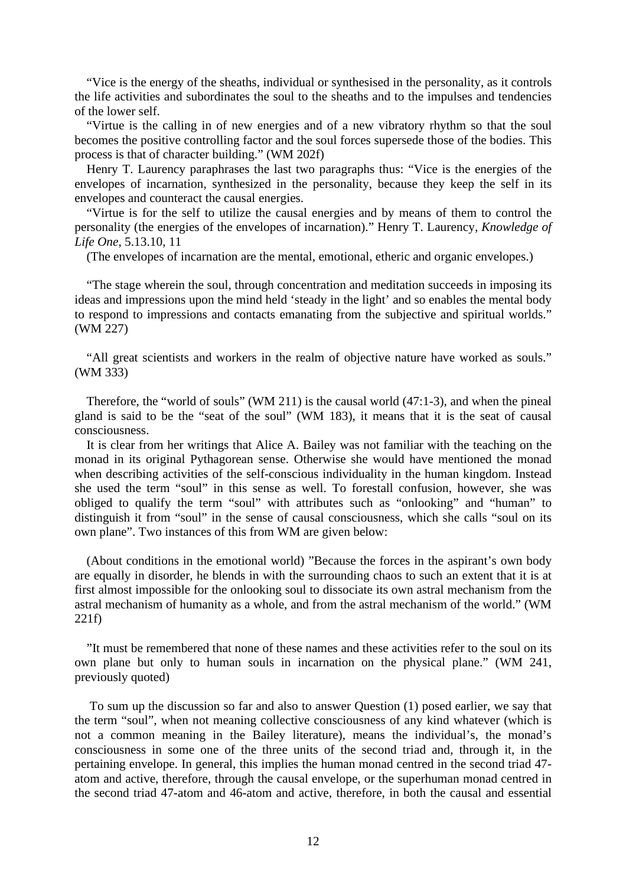"Vice is the energy of the sheaths, individual or synthesised in the personality, as it controls the life activities and subordinates the soul to the sheaths and to the impulses and tendencies of the lower self.

"Virtue is the calling in of new energies and of a new vibratory rhythm so that the soul becomes the positive controlling factor and the soul forces supersede those of the bodies. This process is that of character building." (WM 202f)

Henry T. Laurency paraphrases the last two paragraphs thus: "Vice is the energies of the envelopes of incarnation, synthesized in the personality, because they keep the self in its envelopes and counteract the causal energies.

"Virtue is for the self to utilize the causal energies and by means of them to control the personality (the energies of the envelopes of incarnation)." Henry T. Laurency, *Knowledge of Life One*, 5.13.10, 11

(The envelopes of incarnation are the mental, emotional, etheric and organic envelopes.)

"The stage wherein the soul, through concentration and meditation succeeds in imposing its ideas and impressions upon the mind held 'steady in the light' and so enables the mental body to respond to impressions and contacts emanating from the subjective and spiritual worlds." (WM 227)

"All great scientists and workers in the realm of objective nature have worked as souls." (WM 333)

Therefore, the "world of souls" (WM 211) is the causal world (47:1-3), and when the pineal gland is said to be the "seat of the soul" (WM 183), it means that it is the seat of causal consciousness.

It is clear from her writings that Alice A. Bailey was not familiar with the teaching on the monad in its original Pythagorean sense. Otherwise she would have mentioned the monad when describing activities of the self-conscious individuality in the human kingdom. Instead she used the term "soul" in this sense as well. To forestall confusion, however, she was obliged to qualify the term "soul" with attributes such as "onlooking" and "human" to distinguish it from "soul" in the sense of causal consciousness, which she calls "soul on its own plane". Two instances of this from WM are given below:

(About conditions in the emotional world) "Because the forces in the aspirant's own body are equally in disorder, he blends in with the surrounding chaos to such an extent that it is at first almost impossible for the onlooking soul to dissociate its own astral mechanism from the astral mechanism of humanity as a whole, and from the astral mechanism of the world." (WM 221f)

"It must be remembered that none of these names and these activities refer to the soul on its own plane but only to human souls in incarnation on the physical plane." (WM 241, previously quoted)

To sum up the discussion so far and also to answer Question (1) posed earlier, we say that the term "soul", when not meaning collective consciousness of any kind whatever (which is not a common meaning in the Bailey literature), means the individual's, the monad's consciousness in some one of the three units of the second triad and, through it, in the pertaining envelope. In general, this implies the human monad centred in the second triad 47 atom and active, therefore, through the causal envelope, or the superhuman monad centred in the second triad 47-atom and 46-atom and active, therefore, in both the causal and essential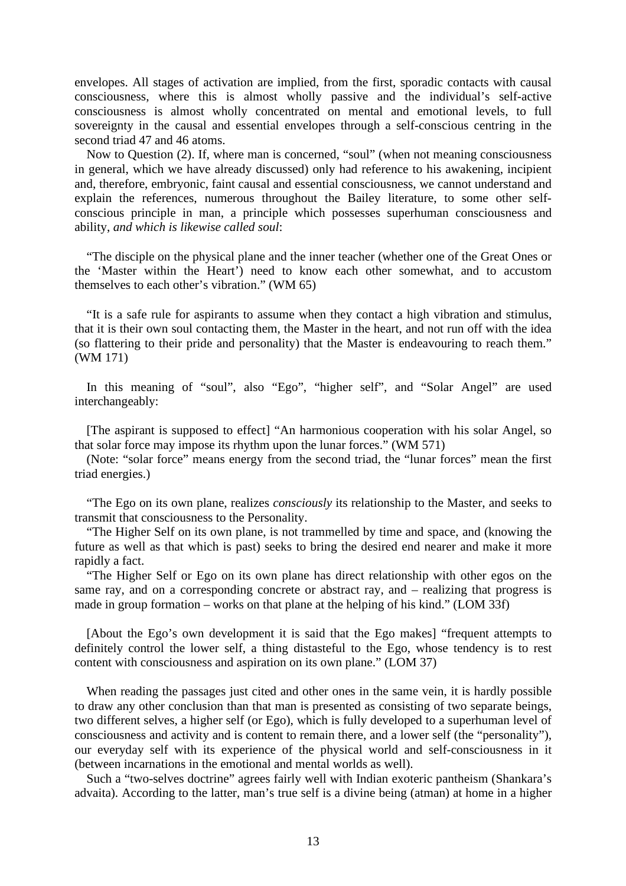envelopes. All stages of activation are implied, from the first, sporadic contacts with causal consciousness, where this is almost wholly passive and the individual's self-active consciousness is almost wholly concentrated on mental and emotional levels, to full sovereignty in the causal and essential envelopes through a self-conscious centring in the second triad 47 and 46 atoms.

Now to Question (2). If, where man is concerned, "soul" (when not meaning consciousness in general, which we have already discussed) only had reference to his awakening, incipient and, therefore, embryonic, faint causal and essential consciousness, we cannot understand and explain the references, numerous throughout the Bailey literature, to some other selfconscious principle in man, a principle which possesses superhuman consciousness and ability, *and which is likewise called soul*:

"The disciple on the physical plane and the inner teacher (whether one of the Great Ones or the 'Master within the Heart') need to know each other somewhat, and to accustom themselves to each other's vibration." (WM 65)

"It is a safe rule for aspirants to assume when they contact a high vibration and stimulus, that it is their own soul contacting them, the Master in the heart, and not run off with the idea (so flattering to their pride and personality) that the Master is endeavouring to reach them." (WM 171)

In this meaning of "soul", also "Ego", "higher self", and "Solar Angel" are used interchangeably:

[The aspirant is supposed to effect] "An harmonious cooperation with his solar Angel, so that solar force may impose its rhythm upon the lunar forces." (WM 571)

(Note: "solar force" means energy from the second triad, the "lunar forces" mean the first triad energies.)

"The Ego on its own plane, realizes *consciously* its relationship to the Master, and seeks to transmit that consciousness to the Personality.

"The Higher Self on its own plane, is not trammelled by time and space, and (knowing the future as well as that which is past) seeks to bring the desired end nearer and make it more rapidly a fact.

"The Higher Self or Ego on its own plane has direct relationship with other egos on the same ray, and on a corresponding concrete or abstract ray, and – realizing that progress is made in group formation – works on that plane at the helping of his kind." (LOM 33f)

[About the Ego's own development it is said that the Ego makes] "frequent attempts to definitely control the lower self, a thing distasteful to the Ego, whose tendency is to rest content with consciousness and aspiration on its own plane." (LOM 37)

When reading the passages just cited and other ones in the same vein, it is hardly possible to draw any other conclusion than that man is presented as consisting of two separate beings, two different selves, a higher self (or Ego), which is fully developed to a superhuman level of consciousness and activity and is content to remain there, and a lower self (the "personality"), our everyday self with its experience of the physical world and self-consciousness in it (between incarnations in the emotional and mental worlds as well).

Such a "two-selves doctrine" agrees fairly well with Indian exoteric pantheism (Shankara's advaita). According to the latter, man's true self is a divine being (atman) at home in a higher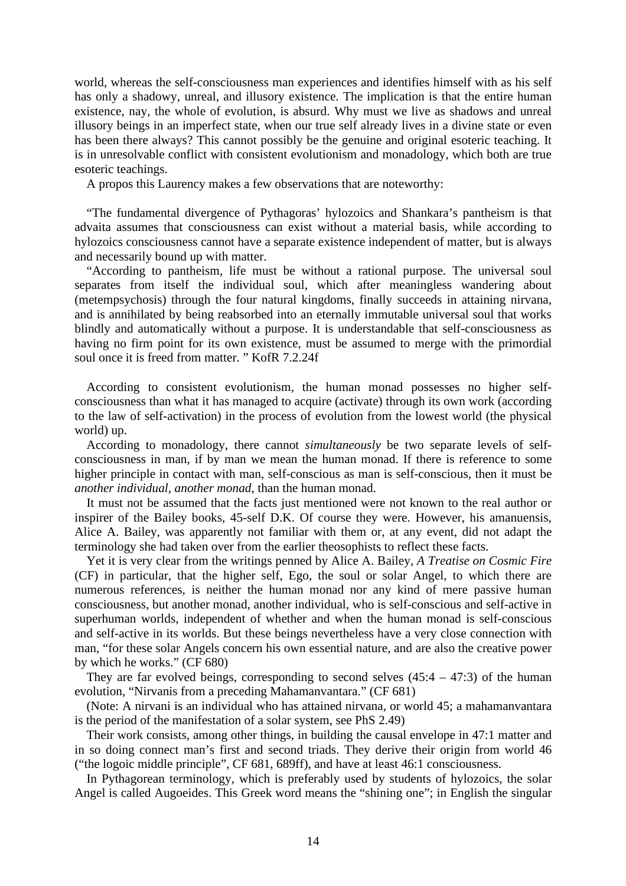world, whereas the self-consciousness man experiences and identifies himself with as his self has only a shadowy, unreal, and illusory existence. The implication is that the entire human existence, nay, the whole of evolution, is absurd. Why must we live as shadows and unreal illusory beings in an imperfect state, when our true self already lives in a divine state or even has been there always? This cannot possibly be the genuine and original esoteric teaching. It is in unresolvable conflict with consistent evolutionism and monadology, which both are true esoteric teachings.

A propos this Laurency makes a few observations that are noteworthy:

"The fundamental divergence of Pythagoras' hylozoics and Shankara's pantheism is that advaita assumes that consciousness can exist without a material basis, while according to hylozoics consciousness cannot have a separate existence independent of matter, but is always and necessarily bound up with matter.

"According to pantheism, life must be without a rational purpose. The universal soul separates from itself the individual soul, which after meaningless wandering about (metempsychosis) through the four natural kingdoms, finally succeeds in attaining nirvana, and is annihilated by being reabsorbed into an eternally immutable universal soul that works blindly and automatically without a purpose. It is understandable that self-consciousness as having no firm point for its own existence, must be assumed to merge with the primordial soul once it is freed from matter. " KofR 7.2.24f

According to consistent evolutionism, the human monad possesses no higher selfconsciousness than what it has managed to acquire (activate) through its own work (according to the law of self-activation) in the process of evolution from the lowest world (the physical world) up.

According to monadology, there cannot *simultaneously* be two separate levels of selfconsciousness in man, if by man we mean the human monad. If there is reference to some higher principle in contact with man, self-conscious as man is self-conscious, then it must be *another individual*, *another monad*, than the human monad.

It must not be assumed that the facts just mentioned were not known to the real author or inspirer of the Bailey books, 45-self D.K. Of course they were. However, his amanuensis, Alice A. Bailey, was apparently not familiar with them or, at any event, did not adapt the terminology she had taken over from the earlier theosophists to reflect these facts.

Yet it is very clear from the writings penned by Alice A. Bailey, *A Treatise on Cosmic Fire* (CF) in particular, that the higher self, Ego, the soul or solar Angel, to which there are numerous references, is neither the human monad nor any kind of mere passive human consciousness, but another monad, another individual, who is self-conscious and self-active in superhuman worlds, independent of whether and when the human monad is self-conscious and self-active in its worlds. But these beings nevertheless have a very close connection with man, "for these solar Angels concern his own essential nature, and are also the creative power by which he works." (CF 680)

They are far evolved beings, corresponding to second selves  $(45:4 - 47:3)$  of the human evolution, "Nirvanis from a preceding Mahamanvantara." (CF 681)

(Note: A nirvani is an individual who has attained nirvana, or world 45; a mahamanvantara is the period of the manifestation of a solar system, see PhS 2.49)

Their work consists, among other things, in building the causal envelope in 47:1 matter and in so doing connect man's first and second triads. They derive their origin from world 46 ("the logoic middle principle", CF 681, 689ff), and have at least 46:1 consciousness.

In Pythagorean terminology, which is preferably used by students of hylozoics, the solar Angel is called Augoeides. This Greek word means the "shining one"; in English the singular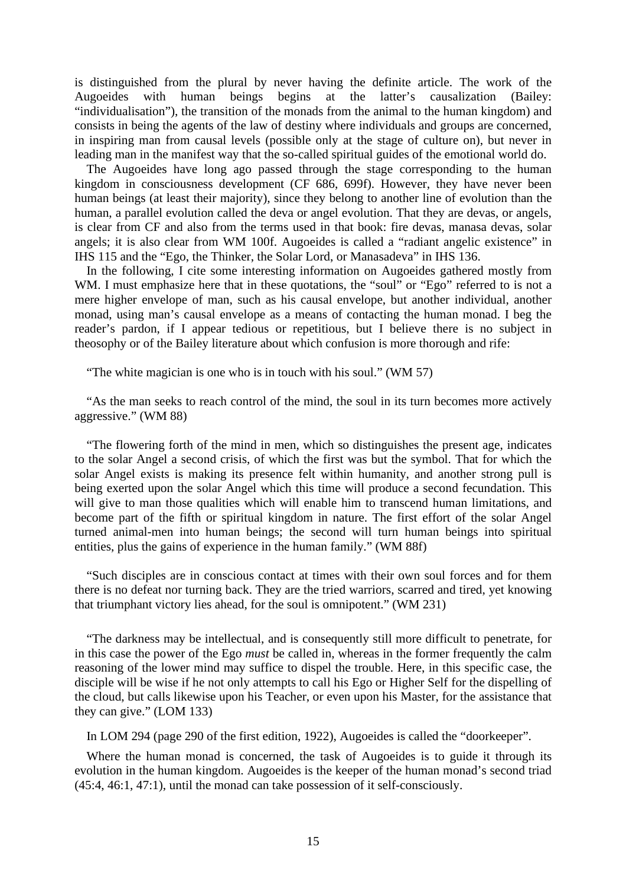is distinguished from the plural by never having the definite article. The work of the Augoeides with human beings begins at the latter's causalization (Bailey: "individualisation"), the transition of the monads from the animal to the human kingdom) and consists in being the agents of the law of destiny where individuals and groups are concerned, in inspiring man from causal levels (possible only at the stage of culture on), but never in leading man in the manifest way that the so-called spiritual guides of the emotional world do.

The Augoeides have long ago passed through the stage corresponding to the human kingdom in consciousness development (CF 686, 699f). However, they have never been human beings (at least their majority), since they belong to another line of evolution than the human, a parallel evolution called the deva or angel evolution. That they are devas, or angels, is clear from CF and also from the terms used in that book: fire devas, manasa devas, solar angels; it is also clear from WM 100f. Augoeides is called a "radiant angelic existence" in IHS 115 and the "Ego, the Thinker, the Solar Lord, or Manasadeva" in IHS 136.

In the following, I cite some interesting information on Augoeides gathered mostly from WM. I must emphasize here that in these quotations, the "soul" or "Ego" referred to is not a mere higher envelope of man, such as his causal envelope, but another individual, another monad, using man's causal envelope as a means of contacting the human monad. I beg the reader's pardon, if I appear tedious or repetitious, but I believe there is no subject in theosophy or of the Bailey literature about which confusion is more thorough and rife:

"The white magician is one who is in touch with his soul." (WM 57)

"As the man seeks to reach control of the mind, the soul in its turn becomes more actively aggressive." (WM 88)

"The flowering forth of the mind in men, which so distinguishes the present age, indicates to the solar Angel a second crisis, of which the first was but the symbol. That for which the solar Angel exists is making its presence felt within humanity, and another strong pull is being exerted upon the solar Angel which this time will produce a second fecundation. This will give to man those qualities which will enable him to transcend human limitations, and become part of the fifth or spiritual kingdom in nature. The first effort of the solar Angel turned animal-men into human beings; the second will turn human beings into spiritual entities, plus the gains of experience in the human family." (WM 88f)

"Such disciples are in conscious contact at times with their own soul forces and for them there is no defeat nor turning back. They are the tried warriors, scarred and tired, yet knowing that triumphant victory lies ahead, for the soul is omnipotent." (WM 231)

"The darkness may be intellectual, and is consequently still more difficult to penetrate, for in this case the power of the Ego *must* be called in, whereas in the former frequently the calm reasoning of the lower mind may suffice to dispel the trouble. Here, in this specific case, the disciple will be wise if he not only attempts to call his Ego or Higher Self for the dispelling of the cloud, but calls likewise upon his Teacher, or even upon his Master, for the assistance that they can give." (LOM 133)

In LOM 294 (page 290 of the first edition, 1922), Augoeides is called the "doorkeeper".

Where the human monad is concerned, the task of Augoeides is to guide it through its evolution in the human kingdom. Augoeides is the keeper of the human monad's second triad (45:4, 46:1, 47:1), until the monad can take possession of it self-consciously.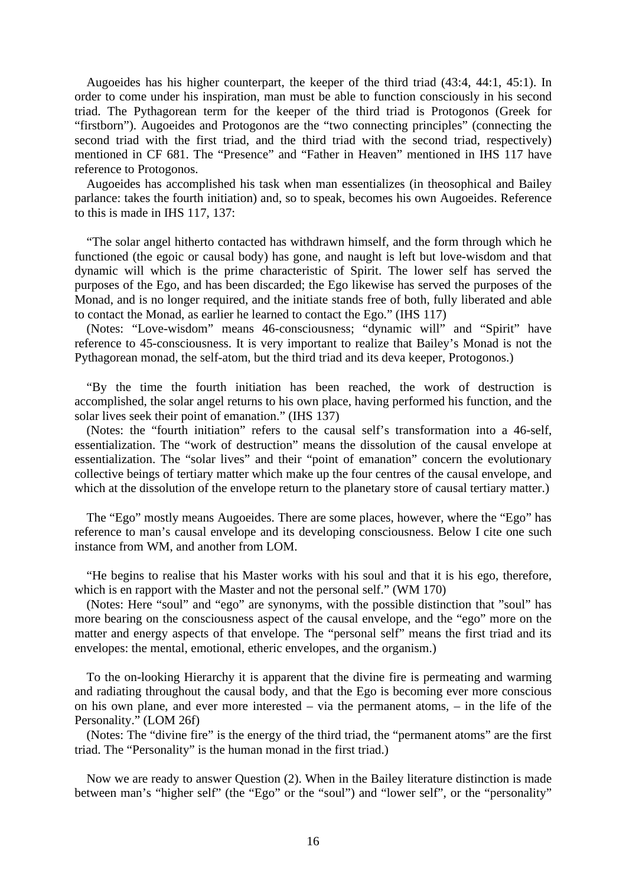Augoeides has his higher counterpart, the keeper of the third triad (43:4, 44:1, 45:1). In order to come under his inspiration, man must be able to function consciously in his second triad. The Pythagorean term for the keeper of the third triad is Protogonos (Greek for "firstborn"). Augoeides and Protogonos are the "two connecting principles" (connecting the second triad with the first triad, and the third triad with the second triad, respectively) mentioned in CF 681. The "Presence" and "Father in Heaven" mentioned in IHS 117 have reference to Protogonos.

Augoeides has accomplished his task when man essentializes (in theosophical and Bailey parlance: takes the fourth initiation) and, so to speak, becomes his own Augoeides. Reference to this is made in IHS 117, 137:

"The solar angel hitherto contacted has withdrawn himself, and the form through which he functioned (the egoic or causal body) has gone, and naught is left but love-wisdom and that dynamic will which is the prime characteristic of Spirit. The lower self has served the purposes of the Ego, and has been discarded; the Ego likewise has served the purposes of the Monad, and is no longer required, and the initiate stands free of both, fully liberated and able to contact the Monad, as earlier he learned to contact the Ego." (IHS 117)

(Notes: "Love-wisdom" means 46-consciousness; "dynamic will" and "Spirit" have reference to 45-consciousness. It is very important to realize that Bailey's Monad is not the Pythagorean monad, the self-atom, but the third triad and its deva keeper, Protogonos.)

"By the time the fourth initiation has been reached, the work of destruction is accomplished, the solar angel returns to his own place, having performed his function, and the solar lives seek their point of emanation." (IHS 137)

(Notes: the "fourth initiation" refers to the causal self's transformation into a 46-self, essentialization. The "work of destruction" means the dissolution of the causal envelope at essentialization. The "solar lives" and their "point of emanation" concern the evolutionary collective beings of tertiary matter which make up the four centres of the causal envelope, and which at the dissolution of the envelope return to the planetary store of causal tertiary matter.)

The "Ego" mostly means Augoeides. There are some places, however, where the "Ego" has reference to man's causal envelope and its developing consciousness. Below I cite one such instance from WM, and another from LOM.

"He begins to realise that his Master works with his soul and that it is his ego, therefore, which is en rapport with the Master and not the personal self." (WM 170)

(Notes: Here "soul" and "ego" are synonyms, with the possible distinction that "soul" has more bearing on the consciousness aspect of the causal envelope, and the "ego" more on the matter and energy aspects of that envelope. The "personal self" means the first triad and its envelopes: the mental, emotional, etheric envelopes, and the organism.)

To the on-looking Hierarchy it is apparent that the divine fire is permeating and warming and radiating throughout the causal body, and that the Ego is becoming ever more conscious on his own plane, and ever more interested – via the permanent atoms, – in the life of the Personality." (LOM 26f)

(Notes: The "divine fire" is the energy of the third triad, the "permanent atoms" are the first triad. The "Personality" is the human monad in the first triad.)

Now we are ready to answer Question (2). When in the Bailey literature distinction is made between man's "higher self" (the "Ego" or the "soul") and "lower self", or the "personality"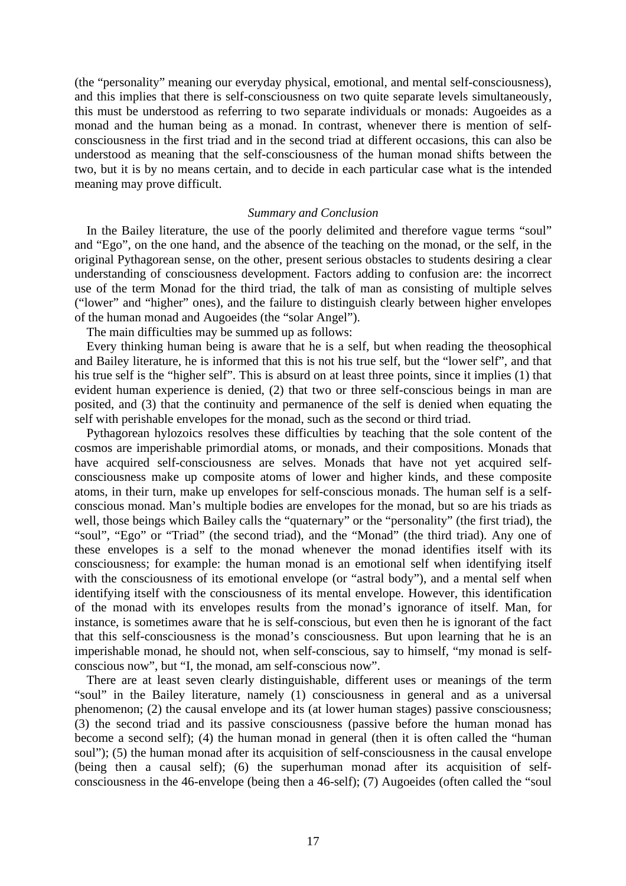(the "personality" meaning our everyday physical, emotional, and mental self-consciousness), and this implies that there is self-consciousness on two quite separate levels simultaneously, this must be understood as referring to two separate individuals or monads: Augoeides as a monad and the human being as a monad. In contrast, whenever there is mention of selfconsciousness in the first triad and in the second triad at different occasions, this can also be understood as meaning that the self-consciousness of the human monad shifts between the two, but it is by no means certain, and to decide in each particular case what is the intended meaning may prove difficult.

## *Summary and Conclusion*

In the Bailey literature, the use of the poorly delimited and therefore vague terms "soul" and "Ego", on the one hand, and the absence of the teaching on the monad, or the self, in the original Pythagorean sense, on the other, present serious obstacles to students desiring a clear understanding of consciousness development. Factors adding to confusion are: the incorrect use of the term Monad for the third triad, the talk of man as consisting of multiple selves ("lower" and "higher" ones), and the failure to distinguish clearly between higher envelopes of the human monad and Augoeides (the "solar Angel").

The main difficulties may be summed up as follows:

Every thinking human being is aware that he is a self, but when reading the theosophical and Bailey literature, he is informed that this is not his true self, but the "lower self", and that his true self is the "higher self". This is absurd on at least three points, since it implies (1) that evident human experience is denied, (2) that two or three self-conscious beings in man are posited, and (3) that the continuity and permanence of the self is denied when equating the self with perishable envelopes for the monad, such as the second or third triad.

Pythagorean hylozoics resolves these difficulties by teaching that the sole content of the cosmos are imperishable primordial atoms, or monads, and their compositions. Monads that have acquired self-consciousness are selves. Monads that have not yet acquired selfconsciousness make up composite atoms of lower and higher kinds, and these composite atoms, in their turn, make up envelopes for self-conscious monads. The human self is a selfconscious monad. Man's multiple bodies are envelopes for the monad, but so are his triads as well, those beings which Bailey calls the "quaternary" or the "personality" (the first triad), the "soul", "Ego" or "Triad" (the second triad), and the "Monad" (the third triad). Any one of these envelopes is a self to the monad whenever the monad identifies itself with its consciousness; for example: the human monad is an emotional self when identifying itself with the consciousness of its emotional envelope (or "astral body"), and a mental self when identifying itself with the consciousness of its mental envelope. However, this identification of the monad with its envelopes results from the monad's ignorance of itself. Man, for instance, is sometimes aware that he is self-conscious, but even then he is ignorant of the fact that this self-consciousness is the monad's consciousness. But upon learning that he is an imperishable monad, he should not, when self-conscious, say to himself, "my monad is selfconscious now", but "I, the monad, am self-conscious now".

There are at least seven clearly distinguishable, different uses or meanings of the term "soul" in the Bailey literature, namely (1) consciousness in general and as a universal phenomenon; (2) the causal envelope and its (at lower human stages) passive consciousness; (3) the second triad and its passive consciousness (passive before the human monad has become a second self); (4) the human monad in general (then it is often called the "human soul"); (5) the human monad after its acquisition of self-consciousness in the causal envelope (being then a causal self); (6) the superhuman monad after its acquisition of selfconsciousness in the 46-envelope (being then a 46-self); (7) Augoeides (often called the "soul